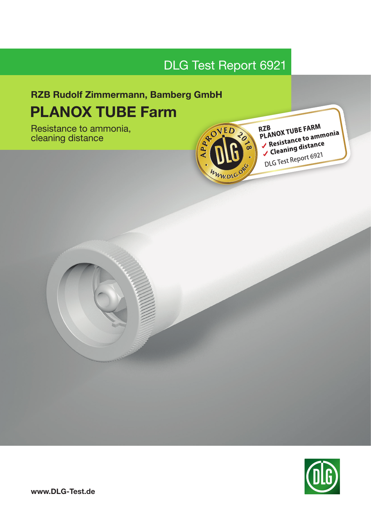# DLG Test Report 6921

# RZB Rudolf Zimmermann, Bamberg GmbH PLANOX TUBE Farm PLANOX TUBE Farm

Resistance to ammonia, cleaning distance



RZB<br>PLANOX TUBE FARM RZB<br>PLANOX TUBE FARM<br>✓ Resistance to ammonia Resistance to annually<br>Cleaning distance DLG Test Report 6921

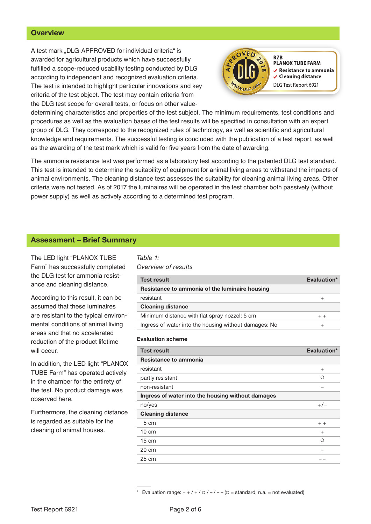## **Overview**

A test mark ..DLG-APPROVED for individual criteria" is awarded for agricultural products which have successfully fulfilled a scope-reduced usability testing conducted by DLG according to independent and recognized evaluation criteria. The test is intended to highlight particular innovations and key criteria of the test object. The test may contain criteria from the DLG test scope for overall tests, or focus on other value-



**PLANOX TUBE FARM**  $\checkmark$  Resistance to ammonia ✔ Cleaning distance DLG Test Report 6921

determining characteristics and properties of the test subject. The minimum requirements, test conditions and procedures as well as the evaluation bases of the test results will be specified in consultation with an expert group of DLG. They correspond to the recognized rules of technology, as well as scientific and agricultural knowledge and requirements. The successful testing is concluded with the publication of a test report, as well as the awarding of the test mark which is valid for five years from the date of awarding.

The ammonia resistance test was performed as a laboratory test according to the patented DLG test standard. This test is intended to determine the suitability of equipment for animal living areas to withstand the impacts of animal environments. The cleaning distance test assesses the suitability for cleaning animal living areas. Other criteria were not tested. As of 2017 the luminaires will be operated in the test chamber both passively (without power supply) as well as actively according to a determined test program.

## Assessment – Brief Summary

The LED light "PLANOX TUBE Farm" has successfully completed the DLG test for ammonia resistance and cleaning distance.

According to this result, it can be assumed that these luminaires are resistant to the typical environmental conditions of animal living areas and that no accelerated reduction of the product lifetime will occur.

In addition, the LED light "PLANOX TUBE Farm" has operated actively in the chamber for the entirety of the test. No product damage was observed here.

Furthermore, the cleaning distance is regarded as suitable for the cleaning of animal houses.

#### *Table 1: Overview of results*

| <b>Test result</b>                                    | Evaluation* |
|-------------------------------------------------------|-------------|
| Resistance to ammonia of the luminaire housing        |             |
| resistant                                             |             |
| <b>Cleaning distance</b>                              |             |
| Minimum distance with flat spray nozzel: 5 cm         | $+ +$       |
| Ingress of water into the housing without damages: No |             |

#### Evaluation scheme

| <b>Test result</b>                                | Evaluation* |
|---------------------------------------------------|-------------|
| Resistance to ammonia                             |             |
| resistant                                         | $^{+}$      |
| partly resistant                                  | ◯           |
| non-resistant                                     |             |
| Ingress of water into the housing without damages |             |
| no/yes                                            | $+/-$       |
| <b>Cleaning distance</b>                          |             |
| 5 cm                                              | $+ +$       |
| $10 \text{ cm}$                                   | $^{+}$      |
| $15 \text{ cm}$                                   | $\Omega$    |
| $20 \text{ cm}$                                   |             |
| $25 \text{ cm}$                                   |             |

Evaluation range:  $+ + / + / \circ / - / - -$  ( $\circ$  = standard, n.a. = not evaluated)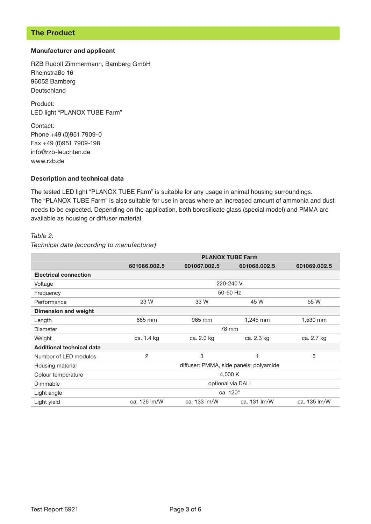## The Product

### Manufacturer and applicant

RZB Rudolf Zimmermann, Bamberg GmbH Rheinstraße 16 96052 Bamberg Deutschland

Product: LED light "PLANOX TUBE Farm"

Contact: Phone +49 (0)951 7909-0 Fax +49 (0)951 7909-198 info@rzb-leuchten.de www.rzb.de

#### Description and technical data

The tested LED light "PLANOX TUBE Farm" is suitable for any usage in animal housing surroundings. The "PLANOX TUBE Farm" is also suitable for use in areas where an increased amount of ammonia and dust needs to be expected. Depending on the application, both borosilicate glass (special model) and PMMA are available as housing or diffuser material.

#### *Table 2:*

#### *Technical data (according to manufacturer)*

|                                  | <b>PLANOX TUBE Farm</b>                |              |                |              |
|----------------------------------|----------------------------------------|--------------|----------------|--------------|
|                                  | 601066.002.5                           | 601067.002.5 | 601068.002.5   | 601069.002.5 |
| <b>Electrical connection</b>     |                                        |              |                |              |
| Voltage                          | 220-240 V                              |              |                |              |
| Frequency                        | 50-60 Hz                               |              |                |              |
| Performance                      | 23 W                                   | 33 W         | 45 W           | 55 W         |
| <b>Dimension and weight</b>      |                                        |              |                |              |
| Length                           | 685 mm                                 | 965 mm       | 1,245 mm       | 1,530 mm     |
| Diameter                         | 78 mm                                  |              |                |              |
| Weight                           | ca. 1.4 kg                             | ca. 2.0 kg   | ca. 2.3 kg     | ca. 2.7 kg   |
| <b>Additional technical data</b> |                                        |              |                |              |
| Number of LED modules            | 2                                      | 3            | $\overline{4}$ | 5            |
| Housing material                 | diffuser: PMMA, side panels: polyamide |              |                |              |
| Colour temperature               | 4,000 K                                |              |                |              |
| Dimmable                         | optional via DALI                      |              |                |              |
| Light angle                      | ca. 120°                               |              |                |              |
| Light yield                      | ca. 126 lm/W                           | ca. 133 lm/W | ca. 131 lm/W   | ca. 135 lm/W |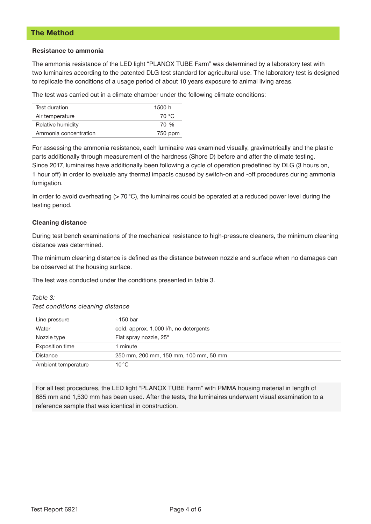## The Method

#### Resistance to ammonia

The ammonia resistance of the LED light "PLANOX TUBE Farm" was determined by a laboratory test with two luminaires according to the patented DLG test standard for agricultural use. The laboratory test is designed to replicate the conditions of a usage period of about 10 years exposure to animal living areas.

The test was carried out in a climate chamber under the following climate conditions:

| Test duration         | 1500 h  |
|-----------------------|---------|
| Air temperature       | 70 °C   |
| Relative humidity     | 70 %    |
| Ammonia concentration | 750 ppm |

For assessing the ammonia resistance, each luminaire was examined visually, gravimetrically and the plastic parts additionally through measurement of the hardness (Shore D) before and after the climate testing. Since 2017, luminaires have additionally been following a cycle of operation predefined by DLG (3 hours on, 1 hour off) in order to eveluate any thermal impacts caused by switch-on and -off procedures during ammonia fumigation.

In order to avoid overheating  $(> 70 °C)$ , the luminaires could be operated at a reduced power level during the testing period.

### Cleaning distance

During test bench examinations of the mechanical resistance to high-pressure cleaners, the minimum cleaning distance was determined.

The minimum cleaning distance is defined as the distance between nozzle and surface when no damages can be observed at the housing surface.

The test was conducted under the conditions presented in table 3.

#### *Table 3:*

*Test conditions cleaning distance*

| Line pressure          | $~150$ bar                             |
|------------------------|----------------------------------------|
| Water                  | cold, approx. 1,000 l/h, no detergents |
| Nozzle type            | Flat spray nozzle, 25°                 |
| <b>Exposition time</b> | minute                                 |
| Distance               | 250 mm, 200 mm, 150 mm, 100 mm, 50 mm  |
| Ambient temperature    | $10^{\circ}$ C                         |

For all test procedures, the LED light "PLANOX TUBE Farm" with PMMA housing material in length of 685 mm and 1,530 mm has been used. After the tests, the luminaires underwent visual examination to a reference sample that was identical in construction.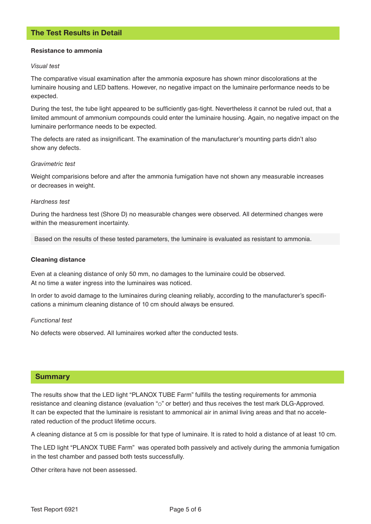#### Resistance to ammonia

#### *Visual test*

The comparative visual examination after the ammonia exposure has shown minor discolorations at the luminaire housing and LED battens. However, no negative impact on the luminaire performance needs to be expected.

During the test, the tube light appeared to be sufficiently gas-tight. Nevertheless it cannot be ruled out, that a limited ammount of ammonium compounds could enter the luminaire housing. Again, no negative impact on the luminaire performance needs to be expected.

The defects are rated as insignificant. The examination of the manufacturer's mounting parts didn't also show any defects.

#### *Gravimetric test*

Weight comparisions before and after the ammonia fumigation have not shown any measurable increases or decreases in weight.

#### *Hardness test*

During the hardness test (Shore D) no measurable changes were observed. All determined changes were within the measurement incertainty.

Based on the results of these tested parameters, the luminaire is evaluated as resistant to ammonia.

#### Cleaning distance

Even at a cleaning distance of only 50 mm, no damages to the luminaire could be observed. At no time a water ingress into the luminaires was noticed.

In order to avoid damage to the luminaires during cleaning reliably, according to the manufacturer's specifications a minimum cleaning distance of 10 cm should always be ensured.

#### *Functional test*

No defects were observed. All luminaires worked after the conducted tests.

### Summary

The results show that the LED light "PLANOX TUBE Farm" fulfills the testing requirements for ammonia resistance and cleaning distance (evaluation " $\circ$ " or better) and thus receives the test mark DLG-Approved. It can be expected that the luminaire is resistant to ammonical air in animal living areas and that no accelerated reduction of the product lifetime occurs.

A cleaning distance at 5 cm is possible for that type of luminaire. It is rated to hold a distance of at least 10 cm.

The LED light "PLANOX TUBE Farm" was operated both passively and actively during the ammonia fumigation in the test chamber and passed both tests successfully.

Other critera have not been assessed.